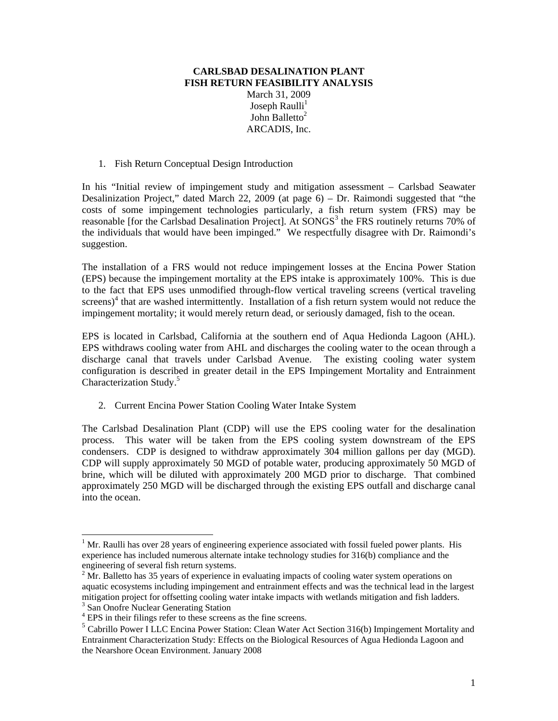## **CARLSBAD DESALINATION PLANT FISH RETURN FEASIBILITY ANALYSIS**  March 31, 2009 Joseph Raulli<sup>1</sup> John Balletto $2$ ARCADIS, Inc.

1. Fish Return Conceptual Design Introduction

In his "Initial review of impingement study and mitigation assessment – Carlsbad Seawater Desalinization Project," dated March 22, 2009 (at page 6) – Dr. Raimondi suggested that "the costs of some impingement technologies particularly, a fish return system (FRS) may be reasonable [for the Carlsbad Desalination Project]. At  $SONGS<sup>3</sup>$  the FRS routinely returns 70% of the individuals that would have been impinged." We respectfully disagree with Dr. Raimondi's suggestion.

The installation of a FRS would not reduce impingement losses at the Encina Power Station (EPS) because the impingement mortality at the EPS intake is approximately 100%. This is due to the fact that EPS uses unmodified through-flow vertical traveling screens (vertical traveling  $s$ creens)<sup>4</sup> that are washed intermittently. Installation of a fish return system would not reduce the impingement mortality; it would merely return dead, or seriously damaged, fish to the ocean.

EPS is located in Carlsbad, California at the southern end of Aqua Hedionda Lagoon (AHL). EPS withdraws cooling water from AHL and discharges the cooling water to the ocean through a discharge canal that travels under Carlsbad Avenue. The existing cooling water system configuration is described in greater detail in the EPS Impingement Mortality and Entrainment Characterization Study.<sup>5</sup>

2. Current Encina Power Station Cooling Water Intake System

The Carlsbad Desalination Plant (CDP) will use the EPS cooling water for the desalination process. This water will be taken from the EPS cooling system downstream of the EPS condensers. CDP is designed to withdraw approximately 304 million gallons per day (MGD). CDP will supply approximately 50 MGD of potable water, producing approximately 50 MGD of brine, which will be diluted with approximately 200 MGD prior to discharge. That combined approximately 250 MGD will be discharged through the existing EPS outfall and discharge canal into the ocean.

1

 $1$  Mr. Raulli has over 28 years of engineering experience associated with fossil fueled power plants. His experience has included numerous alternate intake technology studies for 316(b) compliance and the engineering of several fish return systems.

 $2^2$  Mr. Balletto has 35 years of experience in evaluating impacts of cooling water system operations on aquatic ecosystems including impingement and entrainment effects and was the technical lead in the largest mitigation project for offsetting cooling water intake impacts with wetlands mitigation and fish ladders.

<sup>&</sup>lt;sup>3</sup> San Onofre Nuclear Generating Station

<sup>&</sup>lt;sup>4</sup> EPS in their filings refer to these screens as the fine screens.

<sup>5</sup> Cabrillo Power I LLC Encina Power Station: Clean Water Act Section 316(b) Impingement Mortality and Entrainment Characterization Study: Effects on the Biological Resources of Agua Hedionda Lagoon and the Nearshore Ocean Environment. January 2008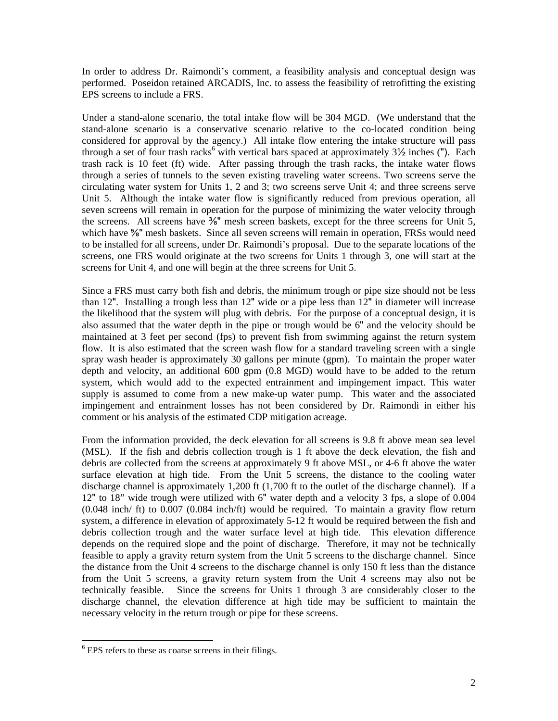In order to address Dr. Raimondi's comment, a feasibility analysis and conceptual design was performed. Poseidon retained ARCADIS, Inc. to assess the feasibility of retrofitting the existing EPS screens to include a FRS.

Under a stand-alone scenario, the total intake flow will be 304 MGD. (We understand that the stand-alone scenario is a conservative scenario relative to the co-located condition being considered for approval by the agency.) All intake flow entering the intake structure will pass through a set of four trash racks<sup>6</sup> with vertical bars spaced at approximately  $3\frac{1}{2}$  inches ("). Each trash rack is 10 feet (ft) wide. After passing through the trash racks, the intake water flows through a series of tunnels to the seven existing traveling water screens. Two screens serve the circulating water system for Units 1, 2 and 3; two screens serve Unit 4; and three screens serve Unit 5. Although the intake water flow is significantly reduced from previous operation, all seven screens will remain in operation for the purpose of minimizing the water velocity through the screens. All screens have  $\frac{3}{8}$ " mesh screen baskets, except for the three screens for Unit 5, which have <sup>5</sup>/<sub>8</sub>" mesh baskets. Since all seven screens will remain in operation, FRSs would need to be installed for all screens, under Dr. Raimondi's proposal. Due to the separate locations of the screens, one FRS would originate at the two screens for Units 1 through 3, one will start at the screens for Unit 4, and one will begin at the three screens for Unit 5.

Since a FRS must carry both fish and debris, the minimum trough or pipe size should not be less than 12". Installing a trough less than 12" wide or a pipe less than 12" in diameter will increase the likelihood that the system will plug with debris. For the purpose of a conceptual design, it is also assumed that the water depth in the pipe or trough would be 6" and the velocity should be maintained at 3 feet per second (fps) to prevent fish from swimming against the return system flow. It is also estimated that the screen wash flow for a standard traveling screen with a single spray wash header is approximately 30 gallons per minute (gpm). To maintain the proper water depth and velocity, an additional 600 gpm (0.8 MGD) would have to be added to the return system, which would add to the expected entrainment and impingement impact. This water supply is assumed to come from a new make-up water pump. This water and the associated impingement and entrainment losses has not been considered by Dr. Raimondi in either his comment or his analysis of the estimated CDP mitigation acreage.

From the information provided, the deck elevation for all screens is 9.8 ft above mean sea level (MSL). If the fish and debris collection trough is 1 ft above the deck elevation, the fish and debris are collected from the screens at approximately 9 ft above MSL, or 4-6 ft above the water surface elevation at high tide. From the Unit 5 screens, the distance to the cooling water discharge channel is approximately 1,200 ft (1,700 ft to the outlet of the discharge channel). If a 12" to 18" wide trough were utilized with 6" water depth and a velocity 3 fps, a slope of 0.004 (0.048 inch/ ft) to 0.007 (0.084 inch/ft) would be required. To maintain a gravity flow return system, a difference in elevation of approximately 5-12 ft would be required between the fish and debris collection trough and the water surface level at high tide. This elevation difference depends on the required slope and the point of discharge. Therefore, it may not be technically feasible to apply a gravity return system from the Unit 5 screens to the discharge channel. Since the distance from the Unit 4 screens to the discharge channel is only 150 ft less than the distance from the Unit 5 screens, a gravity return system from the Unit 4 screens may also not be technically feasible. Since the screens for Units 1 through 3 are considerably closer to the discharge channel, the elevation difference at high tide may be sufficient to maintain the necessary velocity in the return trough or pipe for these screens.

l

 $6$  EPS refers to these as coarse screens in their filings.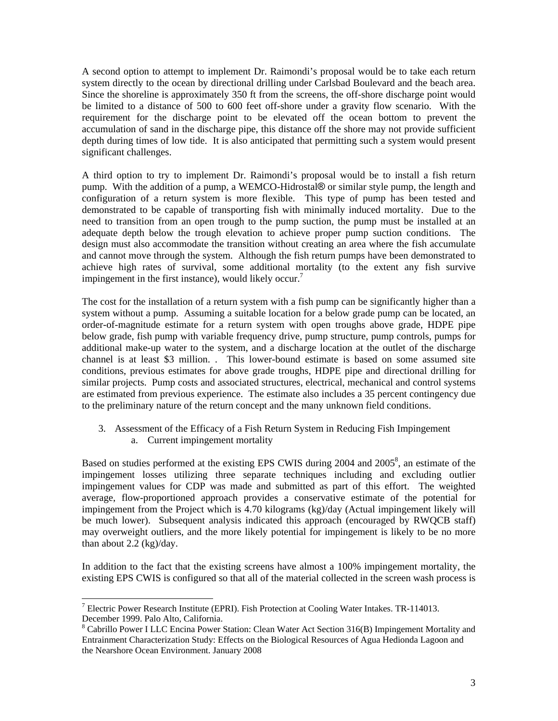A second option to attempt to implement Dr. Raimondi's proposal would be to take each return system directly to the ocean by directional drilling under Carlsbad Boulevard and the beach area. Since the shoreline is approximately 350 ft from the screens, the off-shore discharge point would be limited to a distance of 500 to 600 feet off-shore under a gravity flow scenario. With the requirement for the discharge point to be elevated off the ocean bottom to prevent the accumulation of sand in the discharge pipe, this distance off the shore may not provide sufficient depth during times of low tide. It is also anticipated that permitting such a system would present significant challenges.

A third option to try to implement Dr. Raimondi's proposal would be to install a fish return pump. With the addition of a pump, a WEMCO-Hidrostal® or similar style pump, the length and configuration of a return system is more flexible. This type of pump has been tested and demonstrated to be capable of transporting fish with minimally induced mortality. Due to the need to transition from an open trough to the pump suction, the pump must be installed at an adequate depth below the trough elevation to achieve proper pump suction conditions. The design must also accommodate the transition without creating an area where the fish accumulate and cannot move through the system. Although the fish return pumps have been demonstrated to achieve high rates of survival, some additional mortality (to the extent any fish survive impingement in the first instance), would likely occur.<sup>7</sup>

The cost for the installation of a return system with a fish pump can be significantly higher than a system without a pump. Assuming a suitable location for a below grade pump can be located, an order-of-magnitude estimate for a return system with open troughs above grade, HDPE pipe below grade, fish pump with variable frequency drive, pump structure, pump controls, pumps for additional make-up water to the system, and a discharge location at the outlet of the discharge channel is at least \$3 million. . This lower-bound estimate is based on some assumed site conditions, previous estimates for above grade troughs, HDPE pipe and directional drilling for similar projects. Pump costs and associated structures, electrical, mechanical and control systems are estimated from previous experience. The estimate also includes a 35 percent contingency due to the preliminary nature of the return concept and the many unknown field conditions.

3. Assessment of the Efficacy of a Fish Return System in Reducing Fish Impingement a. Current impingement mortality

Based on studies performed at the existing EPS CWIS during 2004 and 2005<sup>8</sup>, an estimate of the impingement losses utilizing three separate techniques including and excluding outlier impingement values for CDP was made and submitted as part of this effort. The weighted average, flow-proportioned approach provides a conservative estimate of the potential for impingement from the Project which is 4.70 kilograms (kg)/day (Actual impingement likely will be much lower). Subsequent analysis indicated this approach (encouraged by RWQCB staff) may overweight outliers, and the more likely potential for impingement is likely to be no more than about  $2.2$  (kg)/day.

In addition to the fact that the existing screens have almost a 100% impingement mortality, the existing EPS CWIS is configured so that all of the material collected in the screen wash process is

1

<sup>&</sup>lt;sup>7</sup> Electric Power Research Institute (EPRI). Fish Protection at Cooling Water Intakes. TR-114013. December 1999. Palo Alto, California.

<sup>&</sup>lt;sup>8</sup> Cabrillo Power I LLC Encina Power Station: Clean Water Act Section 316(B) Impingement Mortality and Entrainment Characterization Study: Effects on the Biological Resources of Agua Hedionda Lagoon and the Nearshore Ocean Environment. January 2008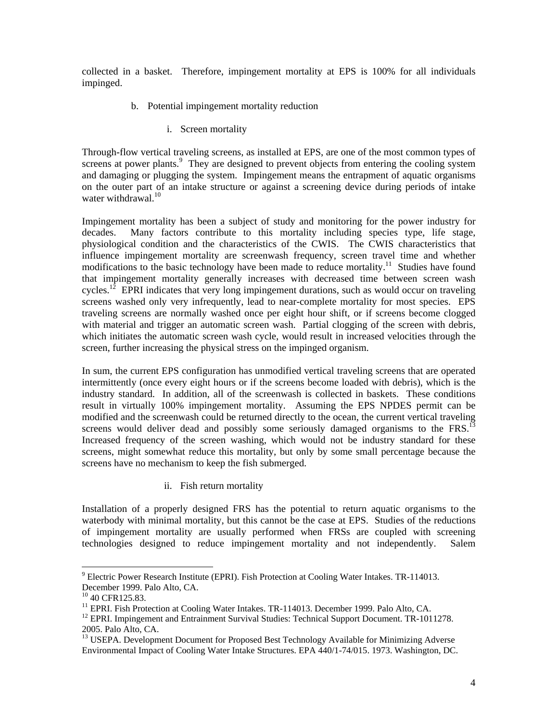collected in a basket. Therefore, impingement mortality at EPS is 100% for all individuals impinged.

- b. Potential impingement mortality reduction
	- i. Screen mortality

Through-flow vertical traveling screens, as installed at EPS, are one of the most common types of screens at power plants.<sup>9</sup> They are designed to prevent objects from entering the cooling system and damaging or plugging the system. Impingement means the entrapment of aquatic organisms on the outer part of an intake structure or against a screening device during periods of intake water withdrawal. $10^{-10}$ 

Impingement mortality has been a subject of study and monitoring for the power industry for decades. Many factors contribute to this mortality including species type, life stage, physiological condition and the characteristics of the CWIS. The CWIS characteristics that influence impingement mortality are screenwash frequency, screen travel time and whether modifications to the basic technology have been made to reduce mortality.<sup>11</sup> Studies have found that impingement mortality generally increases with decreased time between screen wash cycles.<sup>12</sup> EPRI indicates that very long impingement durations, such as would occur on traveling screens washed only very infrequently, lead to near-complete mortality for most species. EPS traveling screens are normally washed once per eight hour shift, or if screens become clogged with material and trigger an automatic screen wash. Partial clogging of the screen with debris, which initiates the automatic screen wash cycle, would result in increased velocities through the screen, further increasing the physical stress on the impinged organism.

In sum, the current EPS configuration has unmodified vertical traveling screens that are operated intermittently (once every eight hours or if the screens become loaded with debris), which is the industry standard. In addition, all of the screenwash is collected in baskets. These conditions result in virtually 100% impingement mortality. Assuming the EPS NPDES permit can be modified and the screenwash could be returned directly to the ocean, the current vertical traveling screens would deliver dead and possibly some seriously damaged organisms to the  $FRS$ .<sup>13</sup> Increased frequency of the screen washing, which would not be industry standard for these screens, might somewhat reduce this mortality, but only by some small percentage because the screens have no mechanism to keep the fish submerged.

ii. Fish return mortality

Installation of a properly designed FRS has the potential to return aquatic organisms to the waterbody with minimal mortality, but this cannot be the case at EPS. Studies of the reductions of impingement mortality are usually performed when FRSs are coupled with screening technologies designed to reduce impingement mortality and not independently. Salem

<sup>1</sup> <sup>9</sup> Electric Power Research Institute (EPRI). Fish Protection at Cooling Water Intakes. TR-114013. December 1999. Palo Alto, CA.

<sup>&</sup>lt;sup>10</sup> 40 CFR125.83.

<sup>&</sup>lt;sup>11</sup> EPRI. Fish Protection at Cooling Water Intakes. TR-114013. December 1999. Palo Alto, CA. <sup>12</sup> EPRI. Impingement and Entrainment Survival Studies: Technical Support Document. TR-1011278.

<sup>2005.</sup> Palo Alto, CA.

<sup>&</sup>lt;sup>13</sup> USEPA. Development Document for Proposed Best Technology Available for Minimizing Adverse Environmental Impact of Cooling Water Intake Structures. EPA 440/1-74/015. 1973. Washington, DC.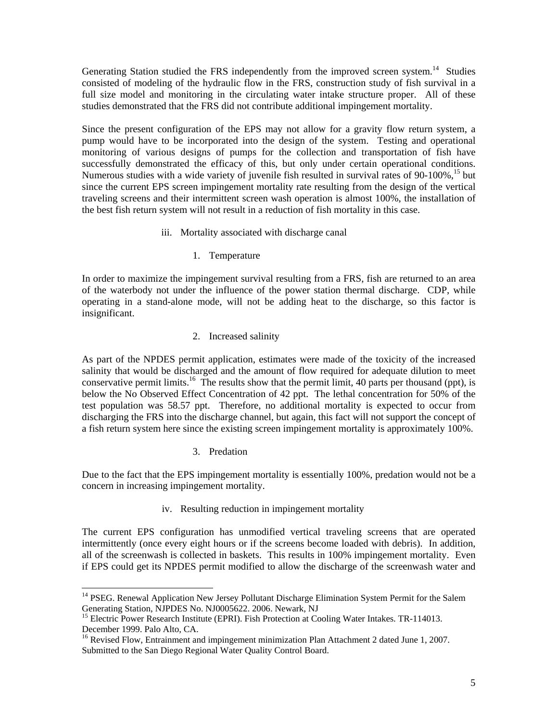Generating Station studied the FRS independently from the improved screen system.<sup>14</sup> Studies consisted of modeling of the hydraulic flow in the FRS, construction study of fish survival in a full size model and monitoring in the circulating water intake structure proper. All of these studies demonstrated that the FRS did not contribute additional impingement mortality.

Since the present configuration of the EPS may not allow for a gravity flow return system, a pump would have to be incorporated into the design of the system. Testing and operational monitoring of various designs of pumps for the collection and transportation of fish have successfully demonstrated the efficacy of this, but only under certain operational conditions. Numerous studies with a wide variety of juvenile fish resulted in survival rates of 90-100%,<sup>15</sup> but since the current EPS screen impingement mortality rate resulting from the design of the vertical traveling screens and their intermittent screen wash operation is almost 100%, the installation of the best fish return system will not result in a reduction of fish mortality in this case.

- iii. Mortality associated with discharge canal
	- 1. Temperature

In order to maximize the impingement survival resulting from a FRS, fish are returned to an area of the waterbody not under the influence of the power station thermal discharge. CDP, while operating in a stand-alone mode, will not be adding heat to the discharge, so this factor is insignificant.

2. Increased salinity

As part of the NPDES permit application, estimates were made of the toxicity of the increased salinity that would be discharged and the amount of flow required for adequate dilution to meet conservative permit limits.<sup>16</sup> The results show that the permit limit, 40 parts per thousand (ppt), is below the No Observed Effect Concentration of 42 ppt. The lethal concentration for 50% of the test population was 58.57 ppt. Therefore, no additional mortality is expected to occur from discharging the FRS into the discharge channel, but again, this fact will not support the concept of a fish return system here since the existing screen impingement mortality is approximately 100%.

3. Predation

Due to the fact that the EPS impingement mortality is essentially 100%, predation would not be a concern in increasing impingement mortality.

iv. Resulting reduction in impingement mortality

The current EPS configuration has unmodified vertical traveling screens that are operated intermittently (once every eight hours or if the screens become loaded with debris). In addition, all of the screenwash is collected in baskets. This results in 100% impingement mortality. Even if EPS could get its NPDES permit modified to allow the discharge of the screenwash water and

<sup>1</sup> <sup>14</sup> PSEG. Renewal Application New Jersey Pollutant Discharge Elimination System Permit for the Salem Generating Station, NJPDES No. NJ0005622. 2006. Newark, NJ

<sup>&</sup>lt;sup>15</sup> Electric Power Research Institute (EPRI). Fish Protection at Cooling Water Intakes. TR-114013. December 1999. Palo Alto, CA.

<sup>&</sup>lt;sup>16</sup> Revised Flow, Entrainment and impingement minimization Plan Attachment 2 dated June 1, 2007. Submitted to the San Diego Regional Water Quality Control Board.